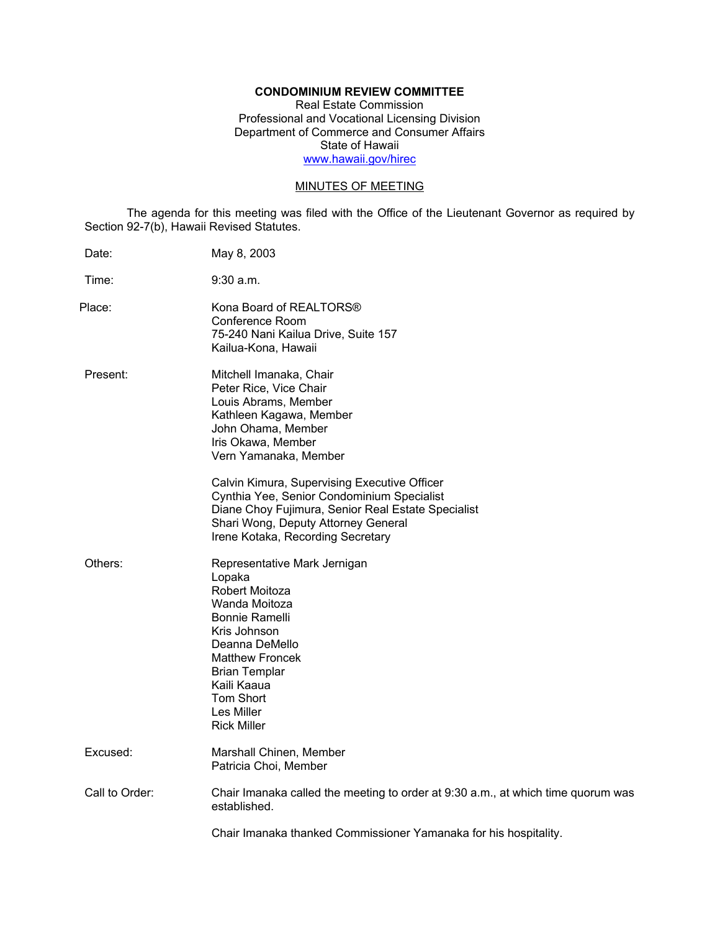# **CONDOMINIUM REVIEW COMMITTEE**

Real Estate Commission Professional and Vocational Licensing Division Department of Commerce and Consumer Affairs State of Hawaii www.hawaii.gov/hirec

# MINUTES OF MEETING

The agenda for this meeting was filed with the Office of the Lieutenant Governor as required by Section 92-7(b), Hawaii Revised Statutes.

| Date:          | May 8, 2003                                                                                                                                                                                                                                     |
|----------------|-------------------------------------------------------------------------------------------------------------------------------------------------------------------------------------------------------------------------------------------------|
| Time:          | $9:30$ a.m.                                                                                                                                                                                                                                     |
| Place:         | Kona Board of REALTORS®<br>Conference Room<br>75-240 Nani Kailua Drive, Suite 157<br>Kailua-Kona, Hawaii                                                                                                                                        |
| Present:       | Mitchell Imanaka, Chair<br>Peter Rice, Vice Chair<br>Louis Abrams, Member<br>Kathleen Kagawa, Member<br>John Ohama, Member<br>Iris Okawa, Member<br>Vern Yamanaka, Member                                                                       |
|                | Calvin Kimura, Supervising Executive Officer<br>Cynthia Yee, Senior Condominium Specialist<br>Diane Choy Fujimura, Senior Real Estate Specialist<br>Shari Wong, Deputy Attorney General<br>Irene Kotaka, Recording Secretary                    |
| Others:        | Representative Mark Jernigan<br>Lopaka<br>Robert Moitoza<br>Wanda Moitoza<br>Bonnie Ramelli<br>Kris Johnson<br>Deanna DeMello<br><b>Matthew Froncek</b><br><b>Brian Templar</b><br>Kaili Kaaua<br>Tom Short<br>Les Miller<br><b>Rick Miller</b> |
| Excused:       | Marshall Chinen, Member<br>Patricia Choi, Member                                                                                                                                                                                                |
| Call to Order: | Chair Imanaka called the meeting to order at 9:30 a.m., at which time quorum was<br>established.                                                                                                                                                |
|                | Chair Imanaka thanked Commissioner Yamanaka for his hospitality.                                                                                                                                                                                |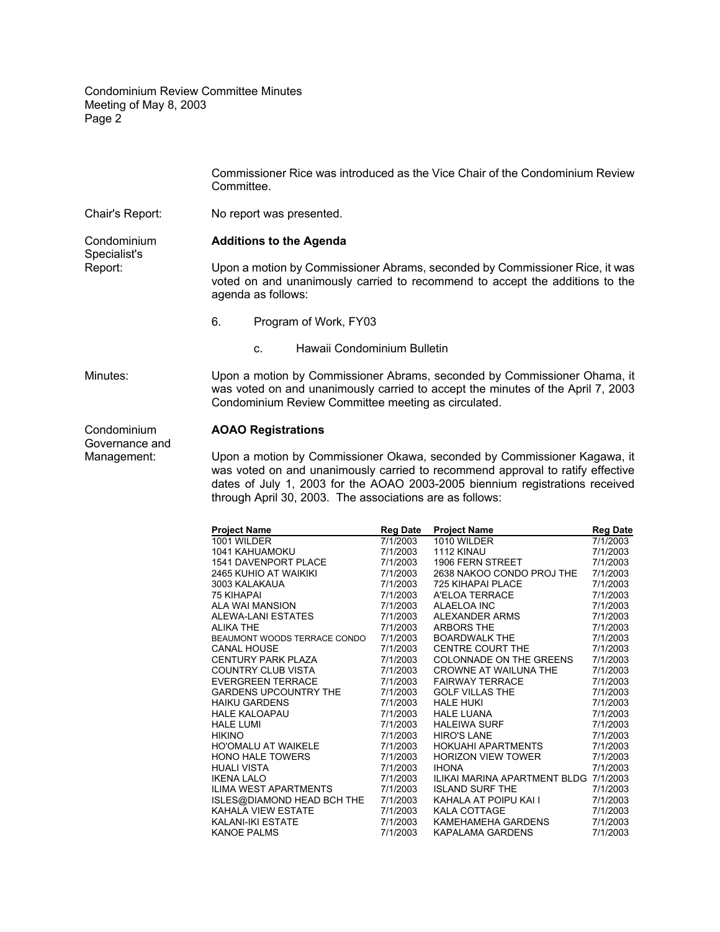|                                                                 | Commissioner Rice was introduced as the Vice Chair of the Condominium Review<br>Committee.                                                                                                                         |  |  |
|-----------------------------------------------------------------|--------------------------------------------------------------------------------------------------------------------------------------------------------------------------------------------------------------------|--|--|
| Chair's Report:                                                 | No report was presented.                                                                                                                                                                                           |  |  |
| Condominium<br>Specialist's<br>Report:                          | <b>Additions to the Agenda</b>                                                                                                                                                                                     |  |  |
|                                                                 | Upon a motion by Commissioner Abrams, seconded by Commissioner Rice, it was<br>voted on and unanimously carried to recommend to accept the additions to the<br>agenda as follows:                                  |  |  |
|                                                                 | 6.<br>Program of Work, FY03                                                                                                                                                                                        |  |  |
|                                                                 | Hawaii Condominium Bulletin<br>C.                                                                                                                                                                                  |  |  |
| Minutes:                                                        | Upon a motion by Commissioner Abrams, seconded by Commissioner Ohama, it<br>was voted on and unanimously carried to accept the minutes of the April 7, 2003<br>Condominium Review Committee meeting as circulated. |  |  |
| Condominium<br>$\sim$ $\sim$ $\sim$ $\sim$ $\sim$ $\sim$ $\sim$ | <b>AOAO Registrations</b>                                                                                                                                                                                          |  |  |

Governance and

Management: Upon a motion by Commissioner Okawa, seconded by Commissioner Kagawa, it was voted on and unanimously carried to recommend approval to ratify effective dates of July 1, 2003 for the AOAO 2003-2005 biennium registrations received through April 30, 2003. The associations are as follows:

| <b>Project Name</b>          | <b>Reg Date</b> | <b>Project Name</b>                   | <b>Reg Date</b> |
|------------------------------|-----------------|---------------------------------------|-----------------|
| 1001 WILDER                  | 7/1/2003        | 1010 WILDER                           | 7/1/2003        |
| 1041 KAHUAMOKU               | 7/1/2003        | 1112 KINAU                            | 7/1/2003        |
| <b>1541 DAVENPORT PLACE</b>  | 7/1/2003        | 1906 FERN STREET                      | 7/1/2003        |
| 2465 KUHIO AT WAIKIKI        | 7/1/2003        | 2638 NAKOO CONDO PROJ THE             | 7/1/2003        |
| 3003 KALAKAUA                | 7/1/2003        | 725 KIHAPAI PLACE                     | 7/1/2003        |
| <b>75 KIHAPAI</b>            | 7/1/2003        | A'ELOA TERRACE                        | 7/1/2003        |
| ALA WAI MANSION              | 7/1/2003        | ALAELOA INC                           | 7/1/2003        |
| <b>ALEWA-LANI ESTATES</b>    | 7/1/2003        | ALEXANDER ARMS                        | 7/1/2003        |
| <b>ALIKA THE</b>             | 7/1/2003        | <b>ARBORS THE</b>                     | 7/1/2003        |
| BEAUMONT WOODS TERRACE CONDO | 7/1/2003        | <b>BOARDWALK THE</b>                  | 7/1/2003        |
| <b>CANAL HOUSE</b>           | 7/1/2003        | <b>CENTRE COURT THE</b>               | 7/1/2003        |
| <b>CENTURY PARK PLAZA</b>    | 7/1/2003        | COLONNADE ON THE GREENS               | 7/1/2003        |
| <b>COUNTRY CLUB VISTA</b>    | 7/1/2003        | CROWNE AT WAILUNA THE                 | 7/1/2003        |
| <b>EVERGREEN TERRACE</b>     | 7/1/2003        | <b>FAIRWAY TERRACE</b>                | 7/1/2003        |
| <b>GARDENS UPCOUNTRY THE</b> | 7/1/2003        | <b>GOLF VILLAS THE</b>                | 7/1/2003        |
| <b>HAIKU GARDENS</b>         | 7/1/2003        | <b>HALE HUKI</b>                      | 7/1/2003        |
| <b>HALE KALOAPAU</b>         | 7/1/2003        | <b>HALE LUANA</b>                     | 7/1/2003        |
| <b>HALE LUMI</b>             | 7/1/2003        | <b>HALEIWA SURF</b>                   | 7/1/2003        |
| <b>HIKINO</b>                | 7/1/2003        | <b>HIRO'S LANE</b>                    | 7/1/2003        |
| <b>HO'OMALU AT WAIKELE</b>   | 7/1/2003        | <b>HOKUAHI APARTMENTS</b>             | 7/1/2003        |
| <b>HONO HALE TOWERS</b>      | 7/1/2003        | <b>HORIZON VIEW TOWER</b>             | 7/1/2003        |
| <b>HUALI VISTA</b>           | 7/1/2003        | <b>IHONA</b>                          | 7/1/2003        |
| <b>IKENA LALO</b>            | 7/1/2003        | ILIKAI MARINA APARTMENT BLDG 7/1/2003 |                 |
| <b>ILIMA WEST APARTMENTS</b> | 7/1/2003        | <b>ISLAND SURF THE</b>                | 7/1/2003        |
| ISLES@DIAMOND HEAD BCH THE   | 7/1/2003        | KAHALA AT POIPU KAI I                 | 7/1/2003        |
| KAHALA VIEW ESTATE           | 7/1/2003        | <b>KALA COTTAGE</b>                   | 7/1/2003        |
| <b>KALANI-IKI ESTATE</b>     | 7/1/2003        | KAMEHAMEHA GARDENS                    | 7/1/2003        |
| <b>KANOE PALMS</b>           | 7/1/2003        | KAPALAMA GARDENS                      | 7/1/2003        |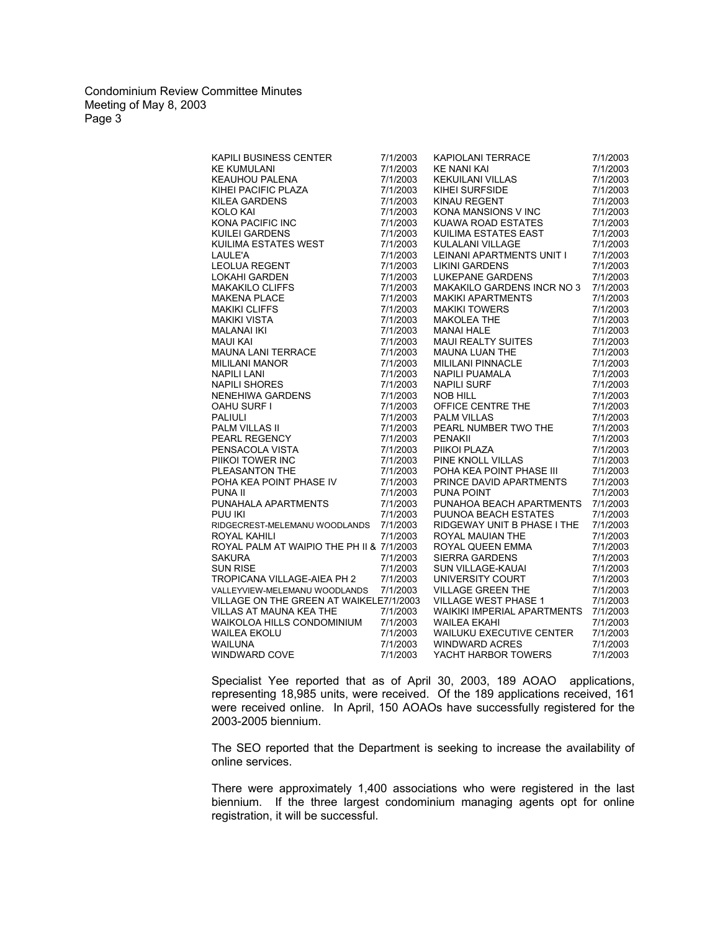| KAPILI BUSINESS CENTER                                                                                                                                                                                                                                                         | 7/1/2003 | KAPIOLANI TERRACE<br>KE NANI KAI<br>KEKUILANI VILLAS<br>KIHEI SURFSIDE<br>KINAU REGENT<br>KONA MANSIONS V INC                                                                                                                              | 7/1/2003 |
|--------------------------------------------------------------------------------------------------------------------------------------------------------------------------------------------------------------------------------------------------------------------------------|----------|--------------------------------------------------------------------------------------------------------------------------------------------------------------------------------------------------------------------------------------------|----------|
|                                                                                                                                                                                                                                                                                | 7/1/2003 |                                                                                                                                                                                                                                            | 7/1/2003 |
|                                                                                                                                                                                                                                                                                | 7/1/2003 |                                                                                                                                                                                                                                            | 7/1/2003 |
| NE KUMULANI<br>KE KUMULANI<br>KEAUHOU PALENA<br>KIHEI PACIFIC PLAZA<br>KILEA GARDENS<br>KOLO KAI<br>KONA PACIFIC INC<br>KUILEI GARDENS<br>KUILLIMA ESTATES WEST<br>LAII F'A                                                                                                    | 7/1/2003 |                                                                                                                                                                                                                                            | 7/1/2003 |
|                                                                                                                                                                                                                                                                                | 7/1/2003 |                                                                                                                                                                                                                                            | 7/1/2003 |
|                                                                                                                                                                                                                                                                                | 7/1/2003 |                                                                                                                                                                                                                                            | 7/1/2003 |
|                                                                                                                                                                                                                                                                                | 7/1/2003 | KUAWA ROAD ESTATES                                                                                                                                                                                                                         | 7/1/2003 |
|                                                                                                                                                                                                                                                                                | 7/1/2003 | KUILIMA ESTATES EAST                                                                                                                                                                                                                       | 7/1/2003 |
|                                                                                                                                                                                                                                                                                | 7/1/2003 | KULALANI VILLAGE                                                                                                                                                                                                                           | 7/1/2003 |
|                                                                                                                                                                                                                                                                                | 7/1/2003 | LEINANI APARTMENTS UNIT I                                                                                                                                                                                                                  | 7/1/2003 |
|                                                                                                                                                                                                                                                                                | 7/1/2003 | <b>LIKINI GARDENS</b>                                                                                                                                                                                                                      | 7/1/2003 |
|                                                                                                                                                                                                                                                                                | 7/1/2003 | LUKEPANE GARDENS                                                                                                                                                                                                                           | 7/1/2003 |
|                                                                                                                                                                                                                                                                                | 7/1/2003 | MAKAKILO GARDENS INCR NO 3                                                                                                                                                                                                                 | 7/1/2003 |
|                                                                                                                                                                                                                                                                                | 7/1/2003 |                                                                                                                                                                                                                                            | 7/1/2003 |
|                                                                                                                                                                                                                                                                                | 7/1/2003 |                                                                                                                                                                                                                                            | 7/1/2003 |
|                                                                                                                                                                                                                                                                                | 7/1/2003 |                                                                                                                                                                                                                                            | 7/1/2003 |
|                                                                                                                                                                                                                                                                                | 7/1/2003 |                                                                                                                                                                                                                                            | 7/1/2003 |
|                                                                                                                                                                                                                                                                                | 7/1/2003 |                                                                                                                                                                                                                                            | 7/1/2003 |
|                                                                                                                                                                                                                                                                                | 7/1/2003 |                                                                                                                                                                                                                                            | 7/1/2003 |
|                                                                                                                                                                                                                                                                                | 7/1/2003 |                                                                                                                                                                                                                                            | 7/1/2003 |
|                                                                                                                                                                                                                                                                                | 7/1/2003 |                                                                                                                                                                                                                                            | 7/1/2003 |
|                                                                                                                                                                                                                                                                                | 7/1/2003 |                                                                                                                                                                                                                                            | 7/1/2003 |
|                                                                                                                                                                                                                                                                                | 7/1/2003 |                                                                                                                                                                                                                                            | 7/1/2003 |
| KUILIMA ESTATES WEST<br>LAULE'A<br>LEOLUA REGENT<br>LOKAHI GARDEN<br>MAKAKILO CLIFFS<br>MAKAKILO CLIFFS<br>MAKAKILO CLIFFS<br>MAKAKILO CLIFFS<br>MAKIKI VISTA<br>MALANAI IKI<br>MAUI KAI<br>MAUI KAI<br>MAUI KAI<br>NAPILI SHORES<br>NENEHIWA GARDENS<br>OAHU SURF I<br>PALIUL | 7/1/2003 | MANARILO GARDENS INCR NO .<br>MAKIKI APARTMENTS<br>MAKIKI TOWERS<br>MAKIKI TOWERS<br>MANAI HALE<br>MANAI HALE<br>MAUI REALTY SUITES<br>MAUINA LUAN THE<br>MILILANI PINNACLE<br>NAPILI SURF<br>NOB HILL<br>OFFICE CENTRE THE<br>PALM VILLAS | 7/1/2003 |
|                                                                                                                                                                                                                                                                                | 7/1/2003 | PALM VILLAS                                                                                                                                                                                                                                | 7/1/2003 |
|                                                                                                                                                                                                                                                                                | 7/1/2003 | PEARL NUMBER TWO THE                                                                                                                                                                                                                       | 7/1/2003 |
|                                                                                                                                                                                                                                                                                | 7/1/2003 |                                                                                                                                                                                                                                            | 7/1/2003 |
|                                                                                                                                                                                                                                                                                | 7/1/2003 | , ∟ivanii<br>PIIKOI PLAZA<br>PINE KNOLL VILLAS<br>POHA KEA DOUTI                                                                                                                                                                           | 7/1/2003 |
|                                                                                                                                                                                                                                                                                | 7/1/2003 |                                                                                                                                                                                                                                            | 7/1/2003 |
|                                                                                                                                                                                                                                                                                | 7/1/2003 | POHA KEA POINT PHASE III                                                                                                                                                                                                                   | 7/1/2003 |
|                                                                                                                                                                                                                                                                                | 7/1/2003 | PRINCE DAVID APARTMENTS                                                                                                                                                                                                                    | 7/1/2003 |
|                                                                                                                                                                                                                                                                                | 7/1/2003 | <b>PUNA POINT</b>                                                                                                                                                                                                                          | 7/1/2003 |
| PUNAHALA APARTMENTS                                                                                                                                                                                                                                                            | 7/1/2003 | PUNAHOA BEACH APARTMENTS                                                                                                                                                                                                                   | 7/1/2003 |
| PUU IKI                                                                                                                                                                                                                                                                        | 7/1/2003 | PUUNOA BEACH ESTATES                                                                                                                                                                                                                       | 7/1/2003 |
| RIDGECREST-MELEMANU WOODLANDS 7/1/2003                                                                                                                                                                                                                                         |          | RIDGEWAY UNIT B PHASE I THE                                                                                                                                                                                                                | 7/1/2003 |
| ROYAL KAHILI                                                                                                                                                                                                                                                                   | 7/1/2003 | ROYAL MAUIAN THE                                                                                                                                                                                                                           | 7/1/2003 |
| ROYAL PALM AT WAIPIO THE PH II & 7/1/2003                                                                                                                                                                                                                                      |          | ROYAL QUEEN EMMA<br>SIERRA GARDENS<br>SUN VILLAGE-KAUAI<br>UNIVERSITY COURT<br>VILLAGE GREEN THE                                                                                                                                           | 7/1/2003 |
| <b>SAKURA</b>                                                                                                                                                                                                                                                                  | 7/1/2003 |                                                                                                                                                                                                                                            | 7/1/2003 |
| <b>SUN RISE</b>                                                                                                                                                                                                                                                                | 7/1/2003 |                                                                                                                                                                                                                                            | 7/1/2003 |
| TROPICANA VILLAGE-AIEA PH 2                                                                                                                                                                                                                                                    | 7/1/2003 |                                                                                                                                                                                                                                            | 7/1/2003 |
| VALLEYVIEW-MELEMANU WOODLANDS 7/1/2003                                                                                                                                                                                                                                         |          |                                                                                                                                                                                                                                            | 7/1/2003 |
| VILLAGE ON THE GREEN AT WAIKELE7/1/2003                                                                                                                                                                                                                                        |          | VILLAGE WEST PHASE 1                                                                                                                                                                                                                       | 7/1/2003 |
| <b>VILLAS AT MAUNA KEA THE</b>                                                                                                                                                                                                                                                 | 7/1/2003 | <b>WAIKIKI IMPERIAL APARTMENTS</b>                                                                                                                                                                                                         | 7/1/2003 |
| WAIKOLOA HILLS CONDOMINIUM                                                                                                                                                                                                                                                     | 7/1/2003 | <b>WAILEA EKAHI</b>                                                                                                                                                                                                                        | 7/1/2003 |
| <b>WAILEA EKOLU</b>                                                                                                                                                                                                                                                            | 7/1/2003 | <b>WAILUKU EXECUTIVE CENTER</b>                                                                                                                                                                                                            | 7/1/2003 |
| <b>WAILUNA</b>                                                                                                                                                                                                                                                                 | 7/1/2003 | <b>WINDWARD ACRES</b>                                                                                                                                                                                                                      | 7/1/2003 |
| <b>WINDWARD COVE</b>                                                                                                                                                                                                                                                           | 7/1/2003 | YACHT HARBOR TOWERS                                                                                                                                                                                                                        | 7/1/2003 |

 Specialist Yee reported that as of April 30, 2003, 189 AOAO applications, representing 18,985 units, were received. Of the 189 applications received, 161 were received online. In April, 150 AOAOs have successfully registered for the 2003-2005 biennium.

 The SEO reported that the Department is seeking to increase the availability of online services.

 There were approximately 1,400 associations who were registered in the last biennium. If the three largest condominium managing agents opt for online registration, it will be successful.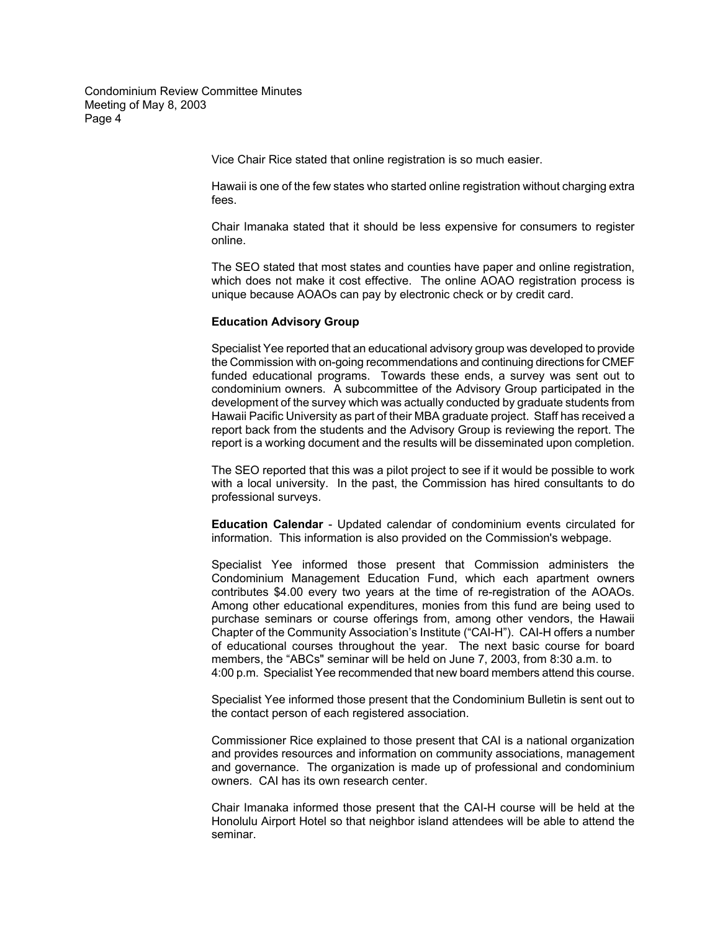Vice Chair Rice stated that online registration is so much easier.

 Hawaii is one of the few states who started online registration without charging extra fees.

 Chair Imanaka stated that it should be less expensive for consumers to register online.

 The SEO stated that most states and counties have paper and online registration, which does not make it cost effective. The online AOAO registration process is unique because AOAOs can pay by electronic check or by credit card.

#### **Education Advisory Group**

 Specialist Yee reported that an educational advisory group was developed to provide the Commission with on-going recommendations and continuing directions for CMEF funded educational programs. Towards these ends, a survey was sent out to condominium owners. A subcommittee of the Advisory Group participated in the development of the survey which was actually conducted by graduate students from Hawaii Pacific University as part of their MBA graduate project. Staff has received a report back from the students and the Advisory Group is reviewing the report. The report is a working document and the results will be disseminated upon completion.

 The SEO reported that this was a pilot project to see if it would be possible to work with a local university. In the past, the Commission has hired consultants to do professional surveys.

 **Education Calendar** - Updated calendar of condominium events circulated for information. This information is also provided on the Commission's webpage.

Specialist Yee informed those present that Commission administers the Condominium Management Education Fund, which each apartment owners contributes \$4.00 every two years at the time of re-registration of the AOAOs. Among other educational expenditures, monies from this fund are being used to purchase seminars or course offerings from, among other vendors, the Hawaii Chapter of the Community Association's Institute ("CAI-H"). CAI-H offers a number of educational courses throughout the year. The next basic course for board members, the "ABCs" seminar will be held on June 7, 2003, from 8:30 a.m. to 4:00 p.m. Specialist Yee recommended that new board members attend this course.

 Specialist Yee informed those present that the Condominium Bulletin is sent out to the contact person of each registered association.

 Commissioner Rice explained to those present that CAI is a national organization and provides resources and information on community associations, management and governance. The organization is made up of professional and condominium owners. CAI has its own research center.

 Chair Imanaka informed those present that the CAI-H course will be held at the Honolulu Airport Hotel so that neighbor island attendees will be able to attend the seminar.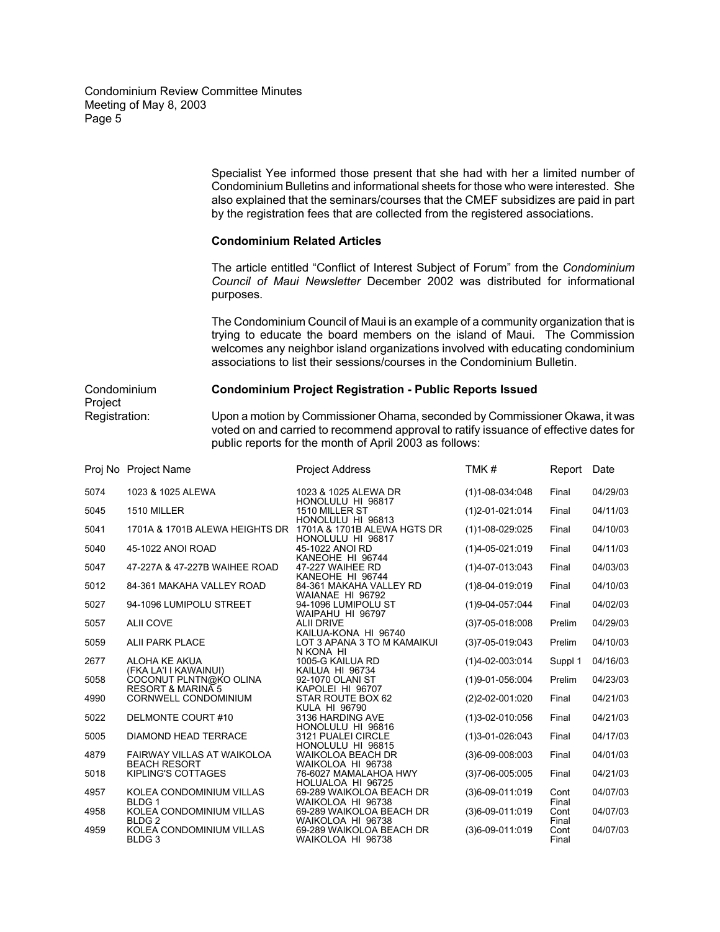> Specialist Yee informed those present that she had with her a limited number of Condominium Bulletins and informational sheets for those who were interested. She also explained that the seminars/courses that the CMEF subsidizes are paid in part by the registration fees that are collected from the registered associations.

## **Condominium Related Articles**

 The article entitled "Conflict of Interest Subject of Forum" from the *Condominium Council of Maui Newsletter* December 2002 was distributed for informational purposes.

 The Condominium Council of Maui is an example of a community organization that is trying to educate the board members on the island of Maui. The Commission welcomes any neighbor island organizations involved with educating condominium associations to list their sessions/courses in the Condominium Bulletin.

# Condominium **Condominium Project Registration - Public Reports Issued**

Project<br>Registration: Upon a motion by Commissioner Ohama, seconded by Commissioner Okawa, it was voted on and carried to recommend approval to ratify issuance of effective dates for public reports for the month of April 2003 as follows:

|      | Proj No Project Name                                       | <b>Project Address</b>                        | TMK#                   | Report        | Date     |
|------|------------------------------------------------------------|-----------------------------------------------|------------------------|---------------|----------|
| 5074 | 1023 & 1025 ALEWA                                          | 1023 & 1025 ALEWA DR<br>HONOLULU HI 96817     | $(1)1 - 08 - 034:048$  | Final         | 04/29/03 |
| 5045 | 1510 MILLER                                                | 1510 MILLER ST<br>HONOLULU HI 96813           | $(1)$ 2-01-021:014     | Final         | 04/11/03 |
| 5041 | 1701A & 1701B ALEWA HEIGHTS DR 1701A & 1701B ALEWA HGTS DR | HONOLULU HI 96817                             | $(1)1 - 08 - 029:025$  | Final         | 04/10/03 |
| 5040 | 45-1022 ANOI ROAD                                          | 45-1022 ANOI RD<br>KANEOHE HI 96744           | $(1)4 - 05 - 021:019$  | Final         | 04/11/03 |
| 5047 | 47-227A & 47-227B WAIHEE ROAD                              | 47-227 WAIHEE RD<br>KANEOHE HI 96744          | $(1)4 - 07 - 013:043$  | Final         | 04/03/03 |
| 5012 | 84-361 MAKAHA VALLEY ROAD                                  | 84-361 MAKAHA VALLEY RD<br>WAIANAE HI 96792   | $(1)8 - 04 - 019:019$  | Final         | 04/10/03 |
| 5027 | 94-1096 LUMIPOLU STREET                                    | 94-1096 LUMIPOLU ST<br>WAIPAHU HI 96797       | $(1)9 - 04 - 057$ :044 | Final         | 04/02/03 |
| 5057 | <b>ALII COVE</b>                                           | <b>ALII DRIVE</b><br>KAILUA-KONA HI 96740     | $(3)7 - 05 - 018:008$  | Prelim        | 04/29/03 |
| 5059 | <b>ALII PARK PLACE</b>                                     | LOT 3 APANA 3 TO M KAMAIKUI<br>N KONA HI      | $(3)7 - 05 - 019:043$  | Prelim        | 04/10/03 |
| 2677 | ALOHA KE AKUA<br>(FKA LA'I I KAWAINUI)                     | 1005-G KAILUA RD<br>KAILUA HI 96734           | $(1)4 - 02 - 003:014$  | Suppl 1       | 04/16/03 |
| 5058 | COCONUT PLNTN@KO OLINA<br><b>RESORT &amp; MARINA 5</b>     | 92-1070 OLANI ST<br>KAPOLEI HI 96707          | (1)9-01-056:004        | Prelim        | 04/23/03 |
| 4990 | <b>CORNWELL CONDOMINIUM</b>                                | STAR ROUTE BOX 62<br><b>KULA HI 96790</b>     | $(2)2 - 02 - 001:020$  | Final         | 04/21/03 |
| 5022 | DELMONTE COURT#10                                          | 3136 HARDING AVE<br>HONOLULU HI 96816         | $(1)3 - 02 - 010:056$  | Final         | 04/21/03 |
| 5005 | <b>DIAMOND HEAD TERRACE</b>                                | 3121 PUALEI CIRCLE<br>HONOLULU HI 96815       | $(1)3 - 01 - 026:043$  | Final         | 04/17/03 |
| 4879 | FAIRWAY VILLAS AT WAIKOLOA<br><b>BEACH RESORT</b>          | <b>WAIKOLOA BEACH DR</b><br>WAIKOLOA HI 96738 | $(3)6 - 09 - 008:003$  | Final         | 04/01/03 |
| 5018 | KIPLING'S COTTAGES                                         | 76-6027 MAMALAHOA HWY<br>HOLUALOA HI 96725    | $(3)7 - 06 - 005:005$  | Final         | 04/21/03 |
| 4957 | KOLEA CONDOMINIUM VILLAS<br>BLDG <sub>1</sub>              | 69-289 WAIKOLOA BEACH DR<br>WAIKOLOA HI 96738 | $(3)6 - 09 - 011:019$  | Cont<br>Final | 04/07/03 |
| 4958 | KOLEA CONDOMINIUM VILLAS<br>BLDG <sub>2</sub>              | 69-289 WAIKOLOA BEACH DR<br>WAIKOLOA HI 96738 | $(3)6 - 09 - 011:019$  | Cont<br>Final | 04/07/03 |
| 4959 | KOLEA CONDOMINIUM VILLAS<br>BLDG <sub>3</sub>              | 69-289 WAIKOLOA BEACH DR<br>WAIKOLOA HI 96738 | $(3)6 - 09 - 011:019$  | Cont<br>Final | 04/07/03 |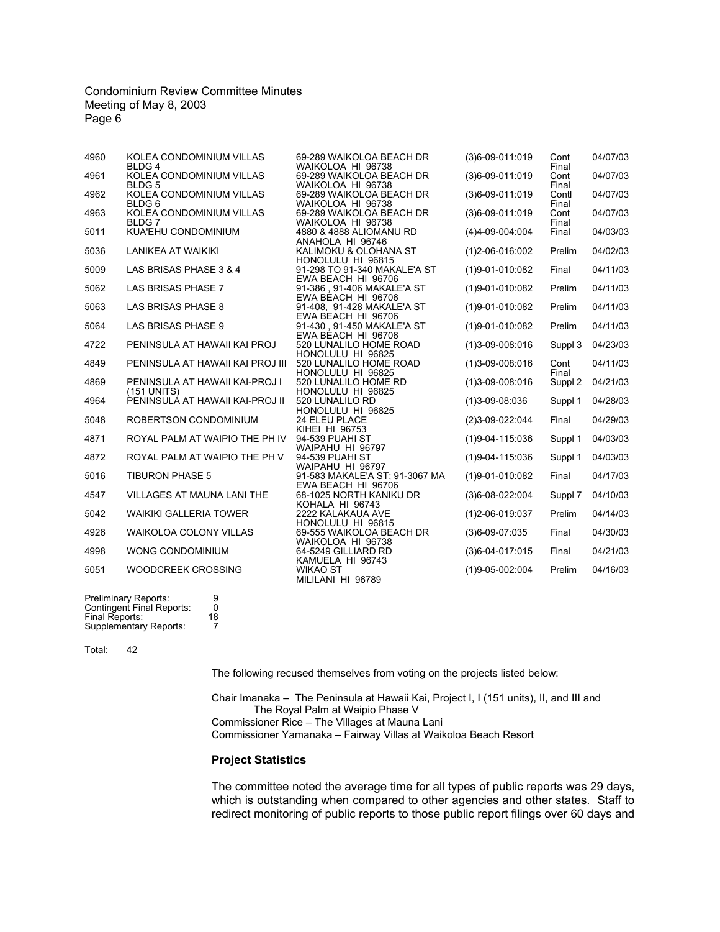| 4960 | KOLEA CONDOMINIUM VILLAS<br>BLDG <sub>4</sub>  | 69-289 WAIKOLOA BEACH DR<br>WAIKOLOA HI 96738                          | $(3)6 - 09 - 011:019$ | Cont<br>Final  | 04/07/03 |
|------|------------------------------------------------|------------------------------------------------------------------------|-----------------------|----------------|----------|
| 4961 | KOLEA CONDOMINIUM VILLAS<br>BLDG <sub>5</sub>  | 69-289 WAIKOLOA BEACH DR<br>WAIKOLOA HI 96738                          | $(3)6 - 09 - 011:019$ | Cont<br>Final  | 04/07/03 |
| 4962 | KOLEA CONDOMINIUM VILLAS<br>BLDG <sub>6</sub>  | 69-289 WAIKOLOA BEACH DR<br>WAIKOLOA HI 96738                          | $(3)6 - 09 - 011:019$ | Contl<br>Final | 04/07/03 |
| 4963 | KOLEA CONDOMINIUM VILLAS<br>BLDG 7             | 69-289 WAIKOLOA BEACH DR<br>WAIKOLOA HI 96738                          | $(3)6 - 09 - 011:019$ | Cont<br>Final  | 04/07/03 |
| 5011 | KUA'EHU CONDOMINIUM                            | 4880 & 4888 ALIOMANU RD<br>ANAHOLA HI 96746                            | $(4)4 - 09 - 004:004$ | Final          | 04/03/03 |
| 5036 | LANIKEA AT WAIKIKI                             | KALIMOKU & OLOHANA ST<br>HONOLULU HI 96815                             | $(1)$ 2-06-016:002    | Prelim         | 04/02/03 |
| 5009 | LAS BRISAS PHASE 3 & 4                         | 91-298 TO 91-340 MAKALE'A ST                                           | $(1)9 - 01 - 010:082$ | Final          | 04/11/03 |
| 5062 | LAS BRISAS PHASE 7                             | EWA BEACH HI 96706<br>91-386, 91-406 MAKALE'A ST<br>EWA BEACH HI 96706 | $(1)9 - 01 - 010:082$ | Prelim         | 04/11/03 |
| 5063 | LAS BRISAS PHASE 8                             | 91-408, 91-428 MAKALE'A ST                                             | $(1)9 - 01 - 010:082$ | Prelim         | 04/11/03 |
| 5064 | LAS BRISAS PHASE 9                             | EWA BEACH HI 96706<br>91-430, 91-450 MAKALE'A ST                       | $(1)9 - 01 - 010:082$ | Prelim         | 04/11/03 |
| 4722 | PENINSULA AT HAWAII KAI PROJ                   | EWA BEACH HI 96706<br>520 LUNALILO HOME ROAD<br>HONOLULU HI 96825      | $(1)3 - 09 - 008:016$ | Suppl 3        | 04/23/03 |
| 4849 | PENINSULA AT HAWAII KAI PROJ III               | 520 LUNALILO HOME ROAD                                                 | $(1)3 - 09 - 008:016$ | Cont<br>Final  | 04/11/03 |
| 4869 | PENINSULA AT HAWAII KAI-PROJ I                 | HONOLULU HI 96825<br>520 LUNALILO HOME RD<br>HONOLULU HI 96825         | $(1)3 - 09 - 008:016$ | Suppl 2        | 04/21/03 |
| 4964 | (151 UNITS)<br>PENINSULÁ AT HAWAII KAI-PROJ II | 520 LUNALILO RD                                                        | $(1)3 - 09 - 08:036$  | Suppl 1        | 04/28/03 |
| 5048 | ROBERTSON CONDOMINIUM                          | HONOLULU HI 96825<br>24 ELEU PLACE<br>KIHEI HI 96753                   | (2)3-09-022:044       | Final          | 04/29/03 |
| 4871 | ROYAL PALM AT WAIPIO THE PH IV                 | 94-539 PUAHI ST<br>WAIPAHU HI 96797                                    | $(1)9 - 04 - 115:036$ | Suppl 1        | 04/03/03 |
| 4872 | ROYAL PALM AT WAIPIO THE PH V                  | 94-539 PUAHI ST<br>WAIPAHU HI 96797                                    | $(1)9 - 04 - 115:036$ | Suppl 1        | 04/03/03 |
| 5016 | <b>TIBURON PHASE 5</b>                         | 91-583 MAKALE'A ST; 91-3067 MA<br>EWA BEACH HI 96706                   | $(1)9 - 01 - 010:082$ | Final          | 04/17/03 |
| 4547 | VILLAGES AT MAUNA LANI THE                     | 68-1025 NORTH KANIKU DR                                                | $(3)6 - 08 - 022:004$ | Suppl 7        | 04/10/03 |
| 5042 | <b>WAIKIKI GALLERIA TOWER</b>                  | KOHALA HI 96743<br>2222 KALAKAUA AVE<br>HONOLULU HI 96815              | $(1)$ 2-06-019:037    | Prelim         | 04/14/03 |
| 4926 | <b>WAIKOLOA COLONY VILLAS</b>                  | 69-555 WAIKOLOA BEACH DR                                               | $(3)6 - 09 - 07:035$  | Final          | 04/30/03 |
| 4998 | WONG CONDOMINIUM                               | WAIKOLOA HI 96738<br>64-5249 GILLIARD RD                               | $(3)6 - 04 - 017:015$ | Final          | 04/21/03 |
| 5051 | WOODCREEK CROSSING                             | KAMUELA HI 96743<br><b>WIKAO ST</b><br>MILILANI HI 96789               | $(1)9 - 05 - 002:004$ | Prelim         | 04/16/03 |
|      |                                                |                                                                        |                       |                |          |

| <b>Preliminary Reports:</b>      | 9  |
|----------------------------------|----|
| <b>Contingent Final Reports:</b> | O  |
| Final Reports:                   | 18 |
| <b>Supplementary Reports:</b>    | 7  |

Total: 42

The following recused themselves from voting on the projects listed below:

 Chair Imanaka – The Peninsula at Hawaii Kai, Project I, I (151 units), II, and III and The Royal Palm at Waipio Phase V Commissioner Rice – The Villages at Mauna Lani Commissioner Yamanaka – Fairway Villas at Waikoloa Beach Resort

## **Project Statistics**

The committee noted the average time for all types of public reports was 29 days, which is outstanding when compared to other agencies and other states. Staff to redirect monitoring of public reports to those public report filings over 60 days and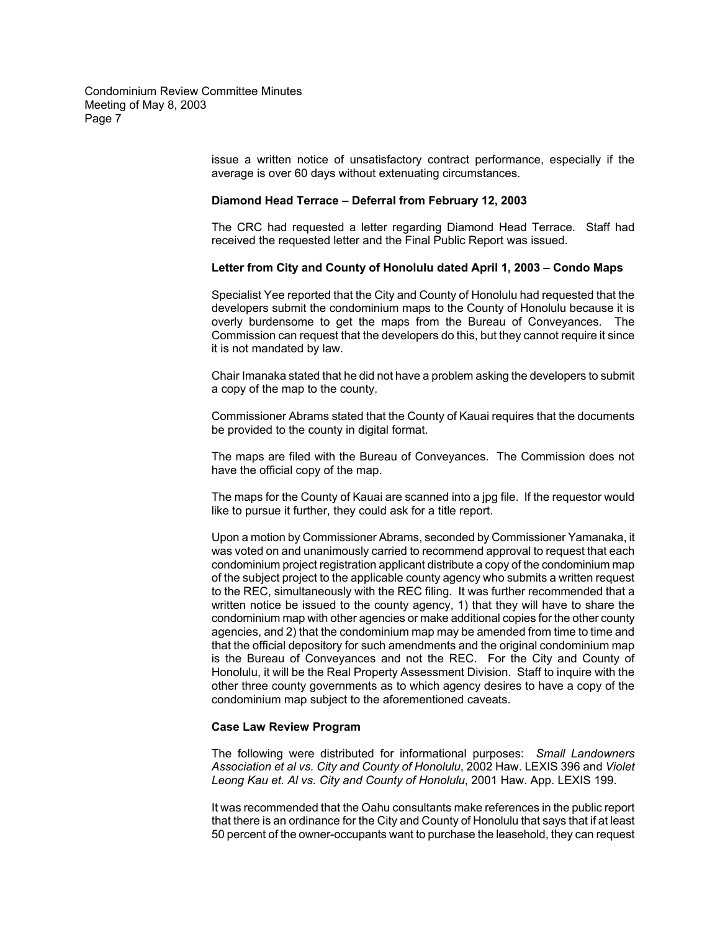> issue a written notice of unsatisfactory contract performance, especially if the average is over 60 days without extenuating circumstances.

### **Diamond Head Terrace – Deferral from February 12, 2003**

The CRC had requested a letter regarding Diamond Head Terrace. Staff had received the requested letter and the Final Public Report was issued.

#### **Letter from City and County of Honolulu dated April 1, 2003 – Condo Maps**

Specialist Yee reported that the City and County of Honolulu had requested that the developers submit the condominium maps to the County of Honolulu because it is overly burdensome to get the maps from the Bureau of Conveyances. The Commission can request that the developers do this, but they cannot require it since it is not mandated by law.

Chair Imanaka stated that he did not have a problem asking the developers to submit a copy of the map to the county.

Commissioner Abrams stated that the County of Kauai requires that the documents be provided to the county in digital format.

The maps are filed with the Bureau of Conveyances. The Commission does not have the official copy of the map.

The maps for the County of Kauai are scanned into a jpg file. If the requestor would like to pursue it further, they could ask for a title report.

Upon a motion by Commissioner Abrams, seconded by Commissioner Yamanaka, it was voted on and unanimously carried to recommend approval to request that each condominium project registration applicant distribute a copy of the condominium map of the subject project to the applicable county agency who submits a written request to the REC, simultaneously with the REC filing. It was further recommended that a written notice be issued to the county agency, 1) that they will have to share the condominium map with other agencies or make additional copies for the other county agencies, and 2) that the condominium map may be amended from time to time and that the official depository for such amendments and the original condominium map is the Bureau of Conveyances and not the REC. For the City and County of Honolulu, it will be the Real Property Assessment Division. Staff to inquire with the other three county governments as to which agency desires to have a copy of the condominium map subject to the aforementioned caveats.

#### **Case Law Review Program**

 The following were distributed for informational purposes: *Small Landowners Association et al vs. City and County of Honolulu*, 2002 Haw. LEXIS 396 and *Violet Leong Kau et. Al vs. City and County of Honolulu*, 2001 Haw. App. LEXIS 199.

It was recommended that the Oahu consultants make references in the public report that there is an ordinance for the City and County of Honolulu that says that if at least 50 percent of the owner-occupants want to purchase the leasehold, they can request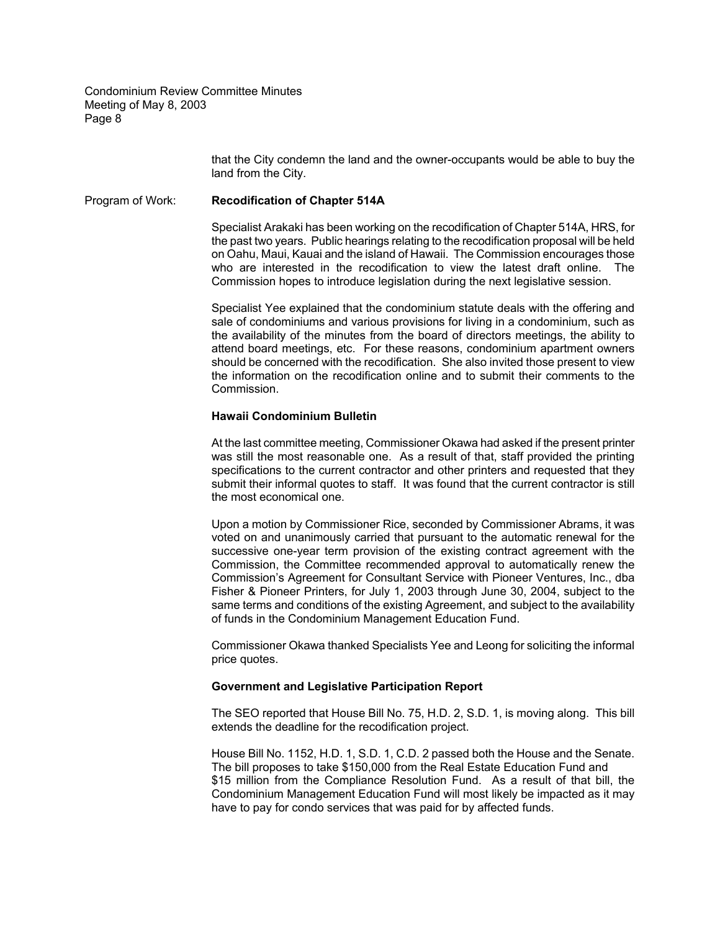> that the City condemn the land and the owner-occupants would be able to buy the land from the City.

Program of Work: **Recodification of Chapter 514A**

Specialist Arakaki has been working on the recodification of Chapter 514A, HRS, for the past two years. Public hearings relating to the recodification proposal will be held on Oahu, Maui, Kauai and the island of Hawaii. The Commission encourages those who are interested in the recodification to view the latest draft online. The Commission hopes to introduce legislation during the next legislative session.

Specialist Yee explained that the condominium statute deals with the offering and sale of condominiums and various provisions for living in a condominium, such as the availability of the minutes from the board of directors meetings, the ability to attend board meetings, etc. For these reasons, condominium apartment owners should be concerned with the recodification. She also invited those present to view the information on the recodification online and to submit their comments to the Commission.

### **Hawaii Condominium Bulletin**

At the last committee meeting, Commissioner Okawa had asked if the present printer was still the most reasonable one. As a result of that, staff provided the printing specifications to the current contractor and other printers and requested that they submit their informal quotes to staff. It was found that the current contractor is still the most economical one.

Upon a motion by Commissioner Rice, seconded by Commissioner Abrams, it was voted on and unanimously carried that pursuant to the automatic renewal for the successive one-year term provision of the existing contract agreement with the Commission, the Committee recommended approval to automatically renew the Commission's Agreement for Consultant Service with Pioneer Ventures, Inc., dba Fisher & Pioneer Printers, for July 1, 2003 through June 30, 2004, subject to the same terms and conditions of the existing Agreement, and subject to the availability of funds in the Condominium Management Education Fund.

Commissioner Okawa thanked Specialists Yee and Leong for soliciting the informal price quotes.

## **Government and Legislative Participation Report**

 The SEO reported that House Bill No. 75, H.D. 2, S.D. 1, is moving along. This bill extends the deadline for the recodification project.

House Bill No. 1152, H.D. 1, S.D. 1, C.D. 2 passed both the House and the Senate. The bill proposes to take \$150,000 from the Real Estate Education Fund and \$15 million from the Compliance Resolution Fund. As a result of that bill, the Condominium Management Education Fund will most likely be impacted as it may have to pay for condo services that was paid for by affected funds.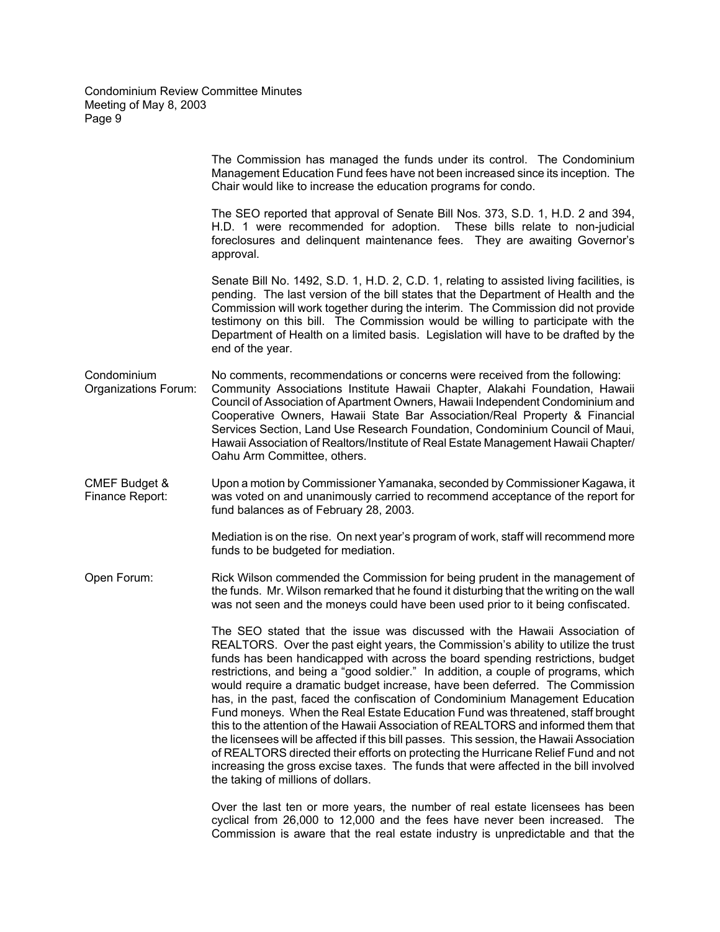|                                             | The Commission has managed the funds under its control. The Condominium<br>Management Education Fund fees have not been increased since its inception. The<br>Chair would like to increase the education programs for condo.                                                                                                                                                                                                                                                                                                                                                                                                                                                                                                                                                                                                                                                                                                                                                                     |
|---------------------------------------------|--------------------------------------------------------------------------------------------------------------------------------------------------------------------------------------------------------------------------------------------------------------------------------------------------------------------------------------------------------------------------------------------------------------------------------------------------------------------------------------------------------------------------------------------------------------------------------------------------------------------------------------------------------------------------------------------------------------------------------------------------------------------------------------------------------------------------------------------------------------------------------------------------------------------------------------------------------------------------------------------------|
|                                             | The SEO reported that approval of Senate Bill Nos. 373, S.D. 1, H.D. 2 and 394,<br>H.D. 1 were recommended for adoption. These bills relate to non-judicial<br>foreclosures and delinquent maintenance fees. They are awaiting Governor's<br>approval.                                                                                                                                                                                                                                                                                                                                                                                                                                                                                                                                                                                                                                                                                                                                           |
|                                             | Senate Bill No. 1492, S.D. 1, H.D. 2, C.D. 1, relating to assisted living facilities, is<br>pending. The last version of the bill states that the Department of Health and the<br>Commission will work together during the interim. The Commission did not provide<br>testimony on this bill. The Commission would be willing to participate with the<br>Department of Health on a limited basis. Legislation will have to be drafted by the<br>end of the year.                                                                                                                                                                                                                                                                                                                                                                                                                                                                                                                                 |
| Condominium<br>Organizations Forum:         | No comments, recommendations or concerns were received from the following:<br>Community Associations Institute Hawaii Chapter, Alakahi Foundation, Hawaii<br>Council of Association of Apartment Owners, Hawaii Independent Condominium and<br>Cooperative Owners, Hawaii State Bar Association/Real Property & Financial<br>Services Section, Land Use Research Foundation, Condominium Council of Maui,<br>Hawaii Association of Realtors/Institute of Real Estate Management Hawaii Chapter/<br>Oahu Arm Committee, others.                                                                                                                                                                                                                                                                                                                                                                                                                                                                   |
| <b>CMEF Budget &amp;</b><br>Finance Report: | Upon a motion by Commissioner Yamanaka, seconded by Commissioner Kagawa, it<br>was voted on and unanimously carried to recommend acceptance of the report for<br>fund balances as of February 28, 2003.                                                                                                                                                                                                                                                                                                                                                                                                                                                                                                                                                                                                                                                                                                                                                                                          |
|                                             | Mediation is on the rise. On next year's program of work, staff will recommend more<br>funds to be budgeted for mediation.                                                                                                                                                                                                                                                                                                                                                                                                                                                                                                                                                                                                                                                                                                                                                                                                                                                                       |
| Open Forum:                                 | Rick Wilson commended the Commission for being prudent in the management of<br>the funds. Mr. Wilson remarked that he found it disturbing that the writing on the wall<br>was not seen and the moneys could have been used prior to it being confiscated.                                                                                                                                                                                                                                                                                                                                                                                                                                                                                                                                                                                                                                                                                                                                        |
|                                             | The SEO stated that the issue was discussed with the Hawaii Association of<br>REALTORS. Over the past eight years, the Commission's ability to utilize the trust<br>funds has been handicapped with across the board spending restrictions, budget<br>restrictions, and being a "good soldier." In addition, a couple of programs, which<br>would require a dramatic budget increase, have been deferred. The Commission<br>has, in the past, faced the confiscation of Condominium Management Education<br>Fund moneys. When the Real Estate Education Fund was threatened, staff brought<br>this to the attention of the Hawaii Association of REALTORS and informed them that<br>the licensees will be affected if this bill passes. This session, the Hawaii Association<br>of REALTORS directed their efforts on protecting the Hurricane Relief Fund and not<br>increasing the gross excise taxes. The funds that were affected in the bill involved<br>the taking of millions of dollars. |
|                                             | Over the last ten or more years, the number of real estate licensees has been<br>cyclical from 26,000 to 12,000 and the fees have never been increased. The<br>Commission is aware that the real estate industry is unpredictable and that the                                                                                                                                                                                                                                                                                                                                                                                                                                                                                                                                                                                                                                                                                                                                                   |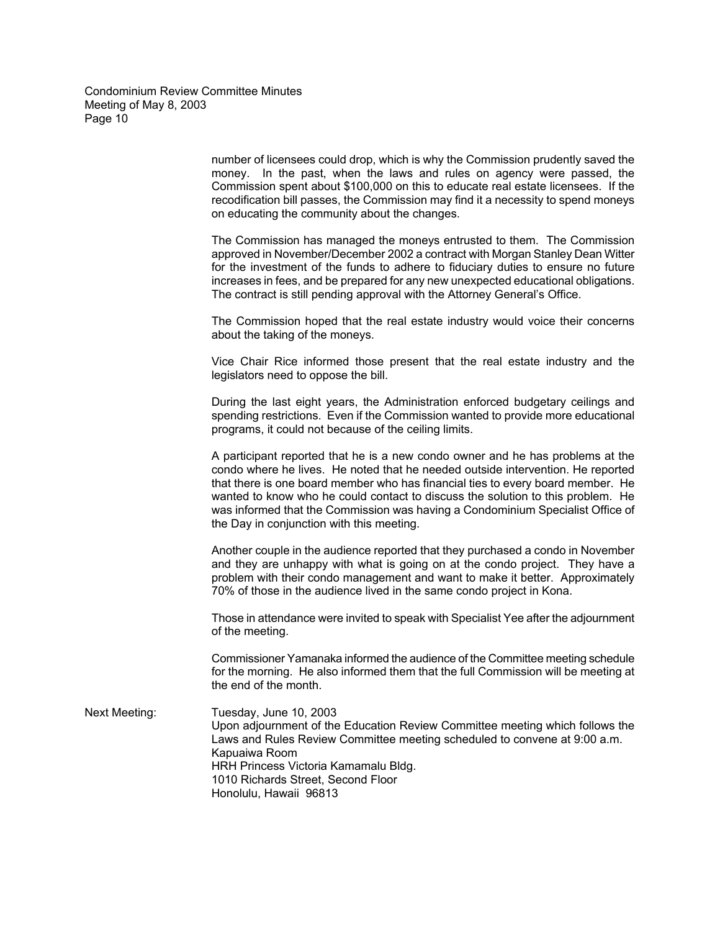> number of licensees could drop, which is why the Commission prudently saved the money. In the past, when the laws and rules on agency were passed, the Commission spent about \$100,000 on this to educate real estate licensees. If the recodification bill passes, the Commission may find it a necessity to spend moneys on educating the community about the changes.

> The Commission has managed the moneys entrusted to them. The Commission approved in November/December 2002 a contract with Morgan Stanley Dean Witter for the investment of the funds to adhere to fiduciary duties to ensure no future increases in fees, and be prepared for any new unexpected educational obligations. The contract is still pending approval with the Attorney General's Office.

> The Commission hoped that the real estate industry would voice their concerns about the taking of the moneys.

> Vice Chair Rice informed those present that the real estate industry and the legislators need to oppose the bill.

> During the last eight years, the Administration enforced budgetary ceilings and spending restrictions. Even if the Commission wanted to provide more educational programs, it could not because of the ceiling limits.

> A participant reported that he is a new condo owner and he has problems at the condo where he lives. He noted that he needed outside intervention. He reported that there is one board member who has financial ties to every board member. He wanted to know who he could contact to discuss the solution to this problem. He was informed that the Commission was having a Condominium Specialist Office of the Day in conjunction with this meeting.

> Another couple in the audience reported that they purchased a condo in November and they are unhappy with what is going on at the condo project. They have a problem with their condo management and want to make it better. Approximately 70% of those in the audience lived in the same condo project in Kona.

> Those in attendance were invited to speak with Specialist Yee after the adjournment of the meeting.

> Commissioner Yamanaka informed the audience of the Committee meeting schedule for the morning. He also informed them that the full Commission will be meeting at the end of the month.

Next Meeting: Tuesday, June 10, 2003 Upon adjournment of the Education Review Committee meeting which follows the Laws and Rules Review Committee meeting scheduled to convene at 9:00 a.m. Kapuaiwa Room HRH Princess Victoria Kamamalu Bldg. 1010 Richards Street, Second Floor Honolulu, Hawaii 96813